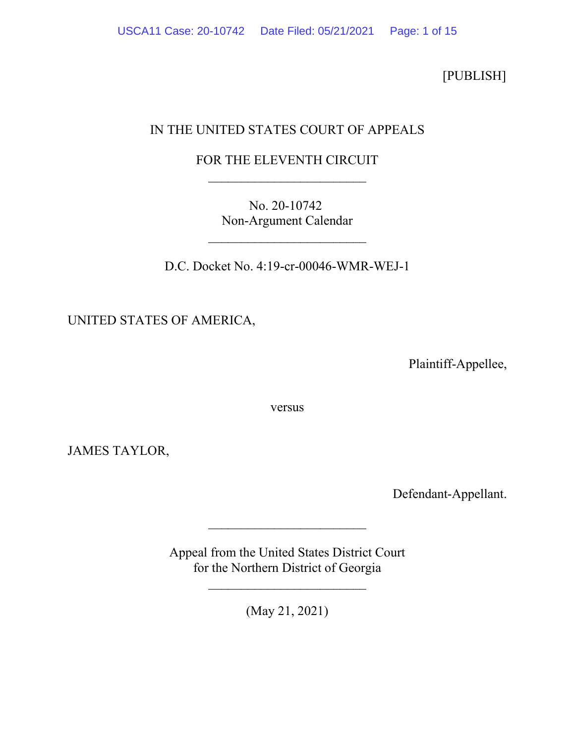[PUBLISH]

# IN THE UNITED STATES COURT OF APPEALS

## FOR THE ELEVENTH CIRCUIT \_\_\_\_\_\_\_\_\_\_\_\_\_\_\_\_\_\_\_\_\_\_\_\_

No. 20-10742 Non-Argument Calendar

\_\_\_\_\_\_\_\_\_\_\_\_\_\_\_\_\_\_\_\_\_\_\_\_

D.C. Docket No. 4:19-cr-00046-WMR-WEJ-1

UNITED STATES OF AMERICA,

Plaintiff-Appellee,

versus

JAMES TAYLOR,

Defendant-Appellant.

Appeal from the United States District Court for the Northern District of Georgia

\_\_\_\_\_\_\_\_\_\_\_\_\_\_\_\_\_\_\_\_\_\_\_\_

\_\_\_\_\_\_\_\_\_\_\_\_\_\_\_\_\_\_\_\_\_\_\_\_

(May 21, 2021)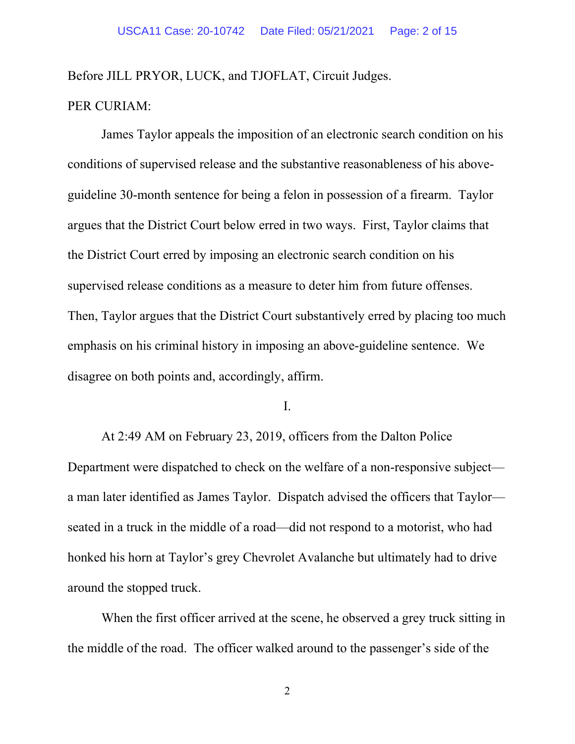Before JILL PRYOR, LUCK, and TJOFLAT, Circuit Judges.

### PER CURIAM:

James Taylor appeals the imposition of an electronic search condition on his conditions of supervised release and the substantive reasonableness of his aboveguideline 30-month sentence for being a felon in possession of a firearm. Taylor argues that the District Court below erred in two ways. First, Taylor claims that the District Court erred by imposing an electronic search condition on his supervised release conditions as a measure to deter him from future offenses. Then, Taylor argues that the District Court substantively erred by placing too much emphasis on his criminal history in imposing an above-guideline sentence. We disagree on both points and, accordingly, affirm.

I.

At 2:49 AM on February 23, 2019, officers from the Dalton Police Department were dispatched to check on the welfare of a non-responsive subject a man later identified as James Taylor. Dispatch advised the officers that Taylor seated in a truck in the middle of a road—did not respond to a motorist, who had honked his horn at Taylor's grey Chevrolet Avalanche but ultimately had to drive around the stopped truck.

When the first officer arrived at the scene, he observed a grey truck sitting in the middle of the road. The officer walked around to the passenger's side of the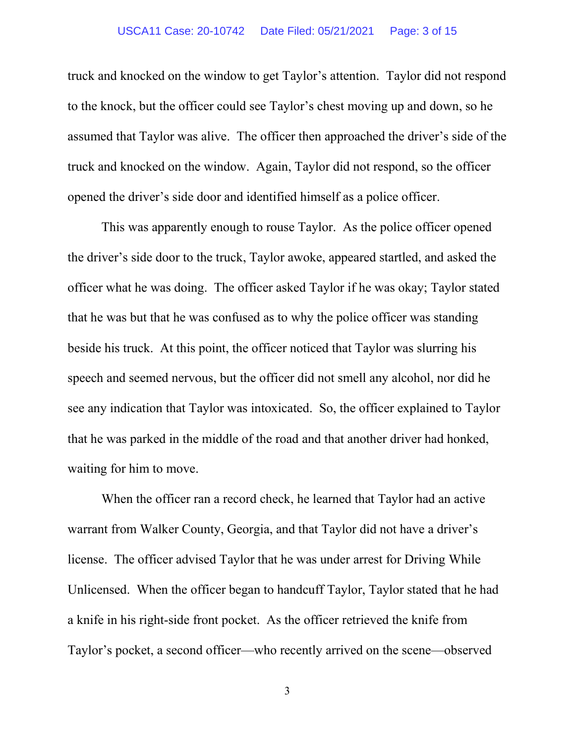truck and knocked on the window to get Taylor's attention. Taylor did not respond to the knock, but the officer could see Taylor's chest moving up and down, so he assumed that Taylor was alive. The officer then approached the driver's side of the truck and knocked on the window. Again, Taylor did not respond, so the officer opened the driver's side door and identified himself as a police officer.

This was apparently enough to rouse Taylor. As the police officer opened the driver's side door to the truck, Taylor awoke, appeared startled, and asked the officer what he was doing. The officer asked Taylor if he was okay; Taylor stated that he was but that he was confused as to why the police officer was standing beside his truck. At this point, the officer noticed that Taylor was slurring his speech and seemed nervous, but the officer did not smell any alcohol, nor did he see any indication that Taylor was intoxicated. So, the officer explained to Taylor that he was parked in the middle of the road and that another driver had honked, waiting for him to move.

When the officer ran a record check, he learned that Taylor had an active warrant from Walker County, Georgia, and that Taylor did not have a driver's license. The officer advised Taylor that he was under arrest for Driving While Unlicensed. When the officer began to handcuff Taylor, Taylor stated that he had a knife in his right-side front pocket. As the officer retrieved the knife from Taylor's pocket, a second officer—who recently arrived on the scene—observed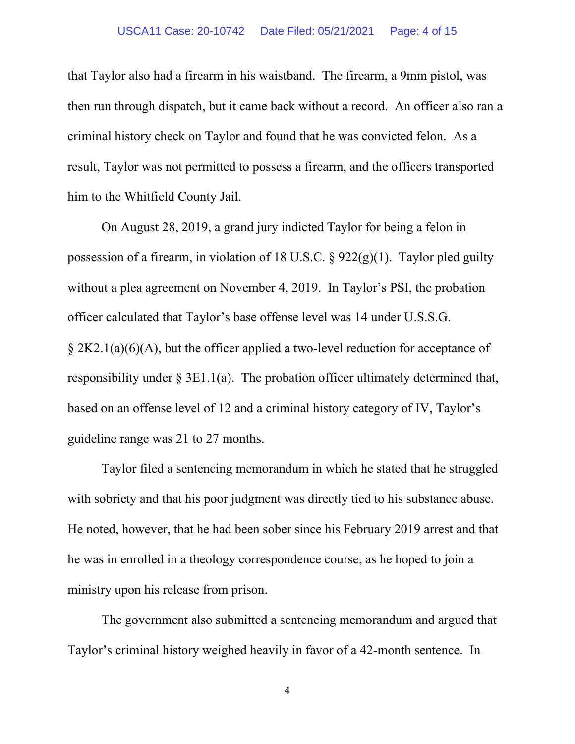#### USCA11 Case: 20-10742 Date Filed: 05/21/2021 Page: 4 of 15

that Taylor also had a firearm in his waistband. The firearm, a 9mm pistol, was then run through dispatch, but it came back without a record. An officer also ran a criminal history check on Taylor and found that he was convicted felon. As a result, Taylor was not permitted to possess a firearm, and the officers transported him to the Whitfield County Jail.

On August 28, 2019, a grand jury indicted Taylor for being a felon in possession of a firearm, in violation of 18 U.S.C.  $\S$  922(g)(1). Taylor pled guilty without a plea agreement on November 4, 2019. In Taylor's PSI, the probation officer calculated that Taylor's base offense level was 14 under U.S.S.G.  $\S 2K2.1(a)(6)(A)$ , but the officer applied a two-level reduction for acceptance of responsibility under  $\S 3E1.1(a)$ . The probation officer ultimately determined that, based on an offense level of 12 and a criminal history category of IV, Taylor's guideline range was 21 to 27 months.

Taylor filed a sentencing memorandum in which he stated that he struggled with sobriety and that his poor judgment was directly tied to his substance abuse. He noted, however, that he had been sober since his February 2019 arrest and that he was in enrolled in a theology correspondence course, as he hoped to join a ministry upon his release from prison.

The government also submitted a sentencing memorandum and argued that Taylor's criminal history weighed heavily in favor of a 42-month sentence. In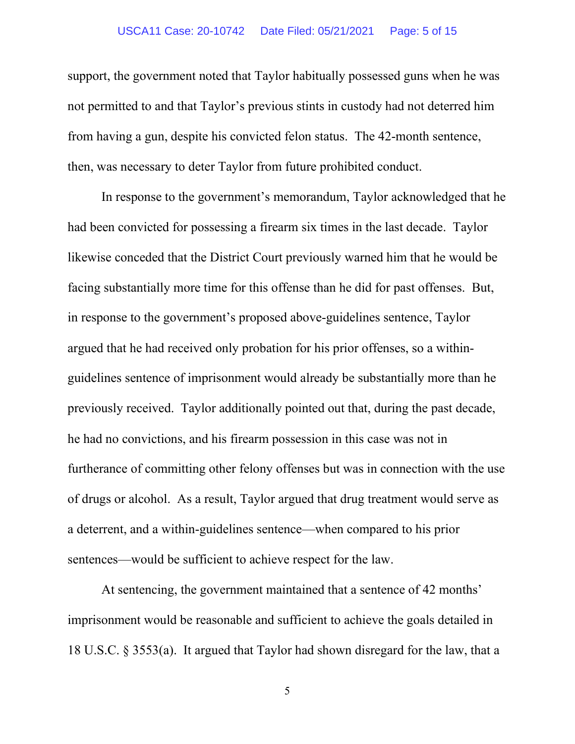### USCA11 Case: 20-10742 Date Filed: 05/21/2021 Page: 5 of 15

support, the government noted that Taylor habitually possessed guns when he was not permitted to and that Taylor's previous stints in custody had not deterred him from having a gun, despite his convicted felon status. The 42-month sentence, then, was necessary to deter Taylor from future prohibited conduct.

In response to the government's memorandum, Taylor acknowledged that he had been convicted for possessing a firearm six times in the last decade. Taylor likewise conceded that the District Court previously warned him that he would be facing substantially more time for this offense than he did for past offenses. But, in response to the government's proposed above-guidelines sentence, Taylor argued that he had received only probation for his prior offenses, so a withinguidelines sentence of imprisonment would already be substantially more than he previously received. Taylor additionally pointed out that, during the past decade, he had no convictions, and his firearm possession in this case was not in furtherance of committing other felony offenses but was in connection with the use of drugs or alcohol. As a result, Taylor argued that drug treatment would serve as a deterrent, and a within-guidelines sentence—when compared to his prior sentences—would be sufficient to achieve respect for the law.

At sentencing, the government maintained that a sentence of 42 months' imprisonment would be reasonable and sufficient to achieve the goals detailed in 18 U.S.C. § 3553(a). It argued that Taylor had shown disregard for the law, that a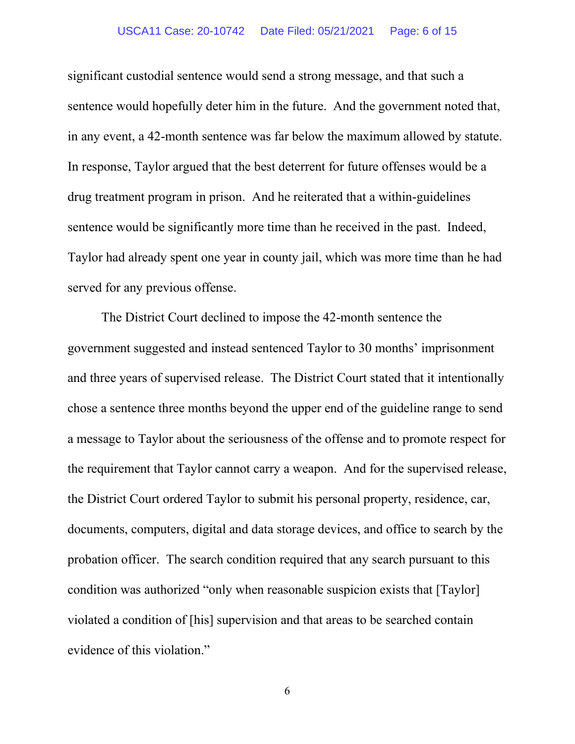### USCA11 Case: 20-10742 Date Filed: 05/21/2021 Page: 6 of 15

significant custodial sentence would send a strong message, and that such a sentence would hopefully deter him in the future. And the government noted that, in any event, a 42-month sentence was far below the maximum allowed by statute. In response, Taylor argued that the best deterrent for future offenses would be a drug treatment program in prison. And he reiterated that a within-guidelines sentence would be significantly more time than he received in the past. Indeed, Taylor had already spent one year in county jail, which was more time than he had served for any previous offense.

The District Court declined to impose the 42-month sentence the government suggested and instead sentenced Taylor to 30 months' imprisonment and three years of supervised release. The District Court stated that it intentionally chose a sentence three months beyond the upper end of the guideline range to send a message to Taylor about the seriousness of the offense and to promote respect for the requirement that Taylor cannot carry a weapon. And for the supervised release, the District Court ordered Taylor to submit his personal property, residence, car, documents, computers, digital and data storage devices, and office to search by the probation officer. The search condition required that any search pursuant to this condition was authorized "only when reasonable suspicion exists that [Taylor] violated a condition of [his] supervision and that areas to be searched contain evidence of this violation."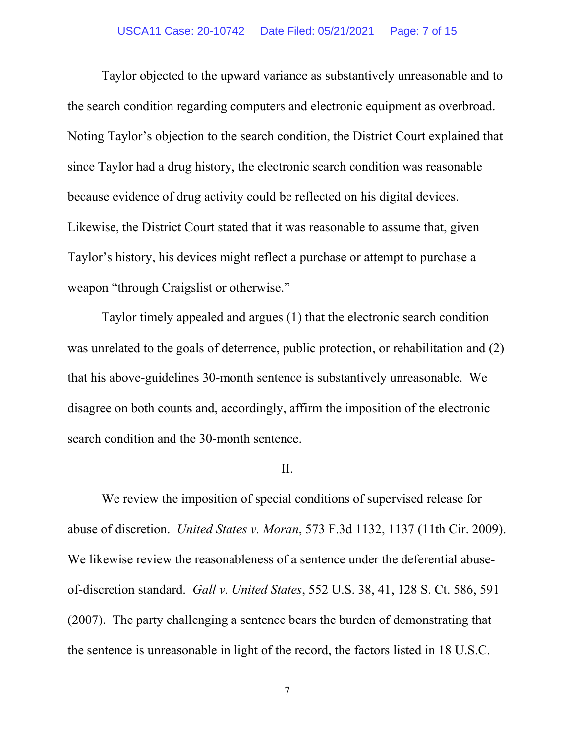Taylor objected to the upward variance as substantively unreasonable and to the search condition regarding computers and electronic equipment as overbroad. Noting Taylor's objection to the search condition, the District Court explained that since Taylor had a drug history, the electronic search condition was reasonable because evidence of drug activity could be reflected on his digital devices. Likewise, the District Court stated that it was reasonable to assume that, given Taylor's history, his devices might reflect a purchase or attempt to purchase a weapon "through Craigslist or otherwise."

Taylor timely appealed and argues (1) that the electronic search condition was unrelated to the goals of deterrence, public protection, or rehabilitation and (2) that his above-guidelines 30-month sentence is substantively unreasonable. We disagree on both counts and, accordingly, affirm the imposition of the electronic search condition and the 30-month sentence.

#### II.

We review the imposition of special conditions of supervised release for abuse of discretion. *United States v. Moran*, 573 F.3d 1132, 1137 (11th Cir. 2009). We likewise review the reasonableness of a sentence under the deferential abuseof-discretion standard. *Gall v. United States*, 552 U.S. 38, 41, 128 S. Ct. 586, 591 (2007). The party challenging a sentence bears the burden of demonstrating that the sentence is unreasonable in light of the record, the factors listed in 18 U.S.C.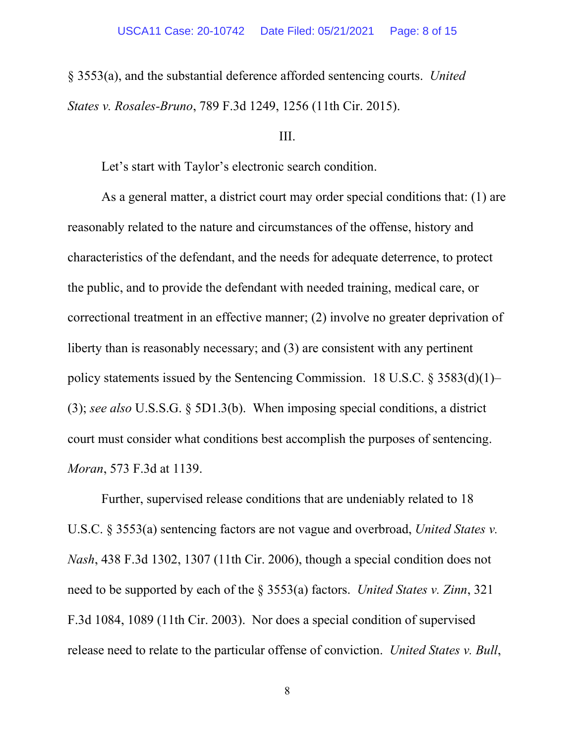§ 3553(a), and the substantial deference afforded sentencing courts. *United States v. Rosales-Bruno*, 789 F.3d 1249, 1256 (11th Cir. 2015).

### III.

Let's start with Taylor's electronic search condition.

As a general matter, a district court may order special conditions that: (1) are reasonably related to the nature and circumstances of the offense, history and characteristics of the defendant, and the needs for adequate deterrence, to protect the public, and to provide the defendant with needed training, medical care, or correctional treatment in an effective manner; (2) involve no greater deprivation of liberty than is reasonably necessary; and (3) are consistent with any pertinent policy statements issued by the Sentencing Commission. 18 U.S.C.  $\S 3583(d)(1)$ – (3); *see also* U.S.S.G. § 5D1.3(b). When imposing special conditions, a district court must consider what conditions best accomplish the purposes of sentencing. *Moran*, 573 F.3d at 1139.

Further, supervised release conditions that are undeniably related to 18 U.S.C. § 3553(a) sentencing factors are not vague and overbroad, *United States v. Nash*, 438 F.3d 1302, 1307 (11th Cir. 2006), though a special condition does not need to be supported by each of the § 3553(a) factors. *United States v. Zinn*, 321 F.3d 1084, 1089 (11th Cir. 2003). Nor does a special condition of supervised release need to relate to the particular offense of conviction. *United States v. Bull*,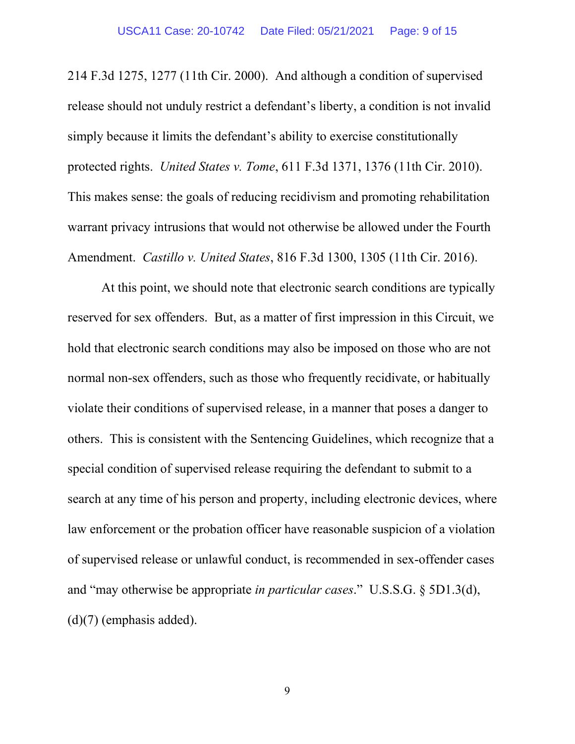214 F.3d 1275, 1277 (11th Cir. 2000). And although a condition of supervised release should not unduly restrict a defendant's liberty, a condition is not invalid simply because it limits the defendant's ability to exercise constitutionally protected rights. *United States v. Tome*, 611 F.3d 1371, 1376 (11th Cir. 2010). This makes sense: the goals of reducing recidivism and promoting rehabilitation warrant privacy intrusions that would not otherwise be allowed under the Fourth Amendment. *Castillo v. United States*, 816 F.3d 1300, 1305 (11th Cir. 2016).

At this point, we should note that electronic search conditions are typically reserved for sex offenders. But, as a matter of first impression in this Circuit, we hold that electronic search conditions may also be imposed on those who are not normal non-sex offenders, such as those who frequently recidivate, or habitually violate their conditions of supervised release, in a manner that poses a danger to others. This is consistent with the Sentencing Guidelines, which recognize that a special condition of supervised release requiring the defendant to submit to a search at any time of his person and property, including electronic devices, where law enforcement or the probation officer have reasonable suspicion of a violation of supervised release or unlawful conduct, is recommended in sex-offender cases and "may otherwise be appropriate *in particular cases*." U.S.S.G. § 5D1.3(d), (d)(7) (emphasis added).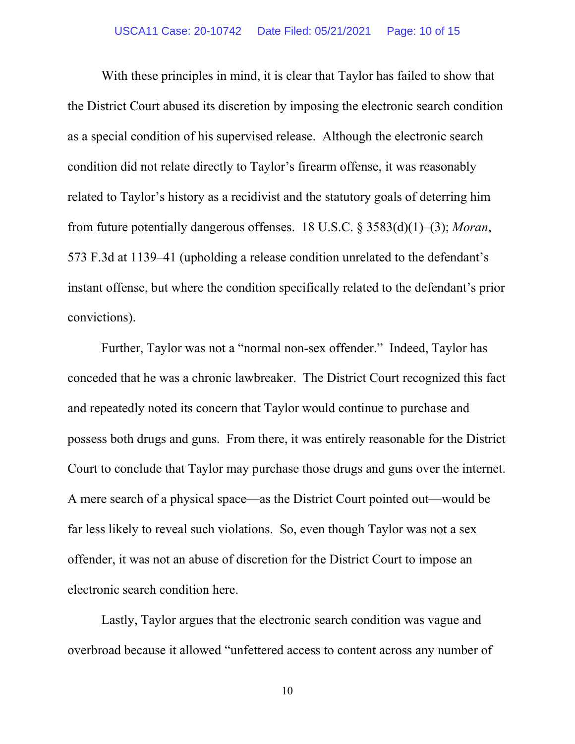With these principles in mind, it is clear that Taylor has failed to show that the District Court abused its discretion by imposing the electronic search condition as a special condition of his supervised release. Although the electronic search condition did not relate directly to Taylor's firearm offense, it was reasonably related to Taylor's history as a recidivist and the statutory goals of deterring him from future potentially dangerous offenses. 18 U.S.C. § 3583(d)(1)–(3); *Moran*, 573 F.3d at 1139–41 (upholding a release condition unrelated to the defendant's instant offense, but where the condition specifically related to the defendant's prior convictions).

Further, Taylor was not a "normal non-sex offender." Indeed, Taylor has conceded that he was a chronic lawbreaker. The District Court recognized this fact and repeatedly noted its concern that Taylor would continue to purchase and possess both drugs and guns. From there, it was entirely reasonable for the District Court to conclude that Taylor may purchase those drugs and guns over the internet. A mere search of a physical space—as the District Court pointed out—would be far less likely to reveal such violations. So, even though Taylor was not a sex offender, it was not an abuse of discretion for the District Court to impose an electronic search condition here.

Lastly, Taylor argues that the electronic search condition was vague and overbroad because it allowed "unfettered access to content across any number of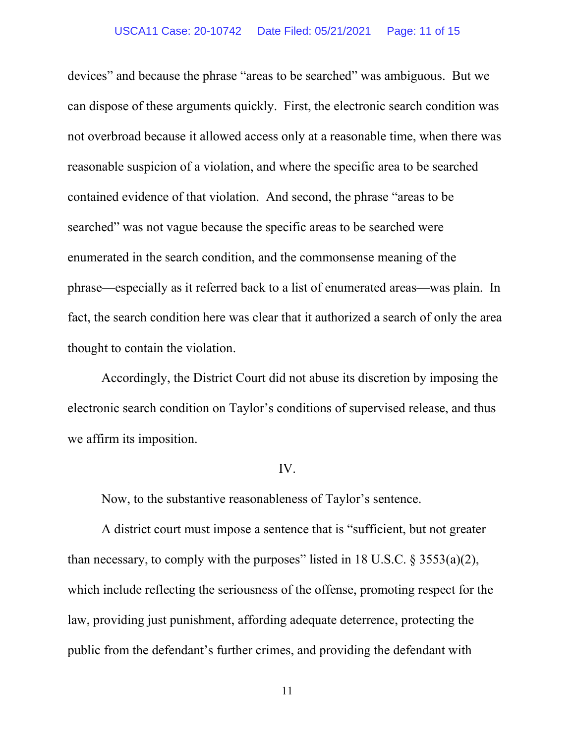#### USCA11 Case: 20-10742 Date Filed: 05/21/2021 Page: 11 of 15

devices" and because the phrase "areas to be searched" was ambiguous. But we can dispose of these arguments quickly. First, the electronic search condition was not overbroad because it allowed access only at a reasonable time, when there was reasonable suspicion of a violation, and where the specific area to be searched contained evidence of that violation. And second, the phrase "areas to be searched" was not vague because the specific areas to be searched were enumerated in the search condition, and the commonsense meaning of the phrase—especially as it referred back to a list of enumerated areas—was plain. In fact, the search condition here was clear that it authorized a search of only the area thought to contain the violation.

Accordingly, the District Court did not abuse its discretion by imposing the electronic search condition on Taylor's conditions of supervised release, and thus we affirm its imposition.

#### IV.

Now, to the substantive reasonableness of Taylor's sentence.

A district court must impose a sentence that is "sufficient, but not greater than necessary, to comply with the purposes" listed in 18 U.S.C.  $\S 3553(a)(2)$ , which include reflecting the seriousness of the offense, promoting respect for the law, providing just punishment, affording adequate deterrence, protecting the public from the defendant's further crimes, and providing the defendant with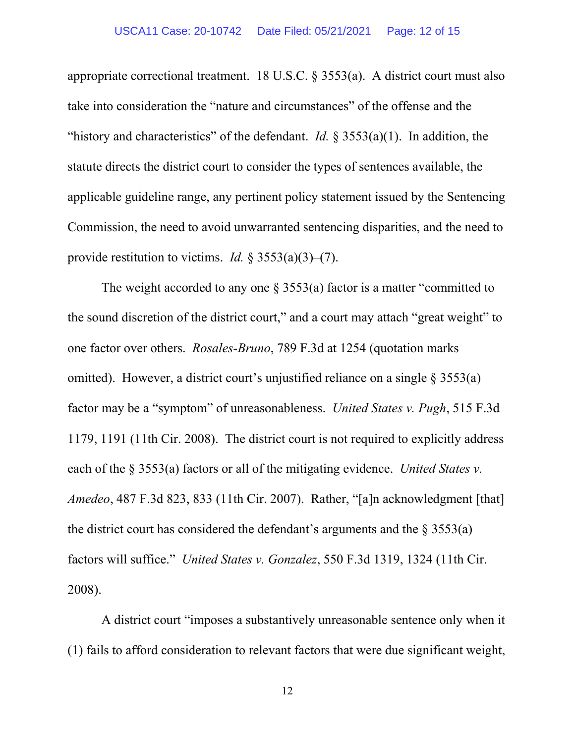appropriate correctional treatment. 18 U.S.C. § 3553(a). A district court must also take into consideration the "nature and circumstances" of the offense and the "history and characteristics" of the defendant. *Id.* § 3553(a)(1). In addition, the statute directs the district court to consider the types of sentences available, the applicable guideline range, any pertinent policy statement issued by the Sentencing Commission, the need to avoid unwarranted sentencing disparities, and the need to provide restitution to victims. *Id.* § 3553(a)(3)–(7).

The weight accorded to any one  $\S$  3553(a) factor is a matter "committed to the sound discretion of the district court," and a court may attach "great weight" to one factor over others. *Rosales-Bruno*, 789 F.3d at 1254 (quotation marks omitted). However, a district court's unjustified reliance on a single  $\S 3553(a)$ factor may be a "symptom" of unreasonableness. *United States v. Pugh*, 515 F.3d 1179, 1191 (11th Cir. 2008). The district court is not required to explicitly address each of the § 3553(a) factors or all of the mitigating evidence. *United States v. Amedeo*, 487 F.3d 823, 833 (11th Cir. 2007). Rather, "[a]n acknowledgment [that] the district court has considered the defendant's arguments and the  $\S 3553(a)$ factors will suffice." *United States v. Gonzalez*, 550 F.3d 1319, 1324 (11th Cir. 2008).

A district court "imposes a substantively unreasonable sentence only when it (1) fails to afford consideration to relevant factors that were due significant weight,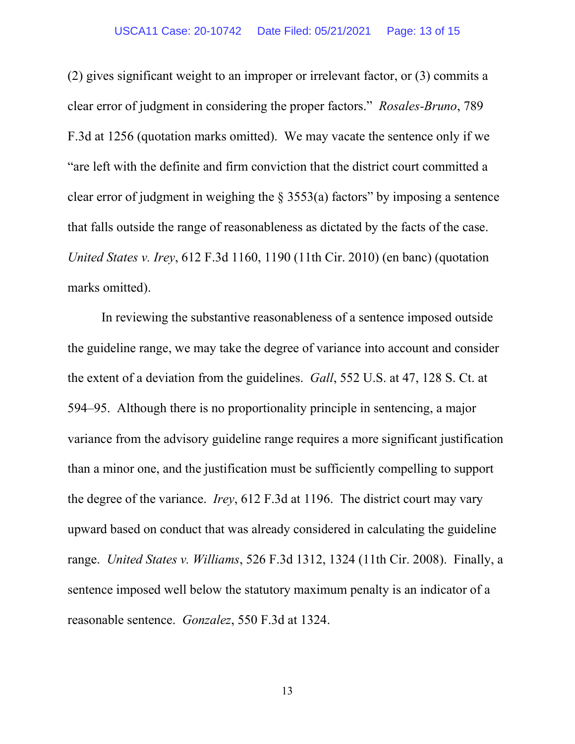(2) gives significant weight to an improper or irrelevant factor, or (3) commits a clear error of judgment in considering the proper factors." *Rosales-Bruno*, 789 F.3d at 1256 (quotation marks omitted). We may vacate the sentence only if we "are left with the definite and firm conviction that the district court committed a clear error of judgment in weighing the  $\S$  3553(a) factors" by imposing a sentence that falls outside the range of reasonableness as dictated by the facts of the case. *United States v. Irey*, 612 F.3d 1160, 1190 (11th Cir. 2010) (en banc) (quotation marks omitted).

In reviewing the substantive reasonableness of a sentence imposed outside the guideline range, we may take the degree of variance into account and consider the extent of a deviation from the guidelines. *Gall*, 552 U.S. at 47, 128 S. Ct. at 594–95. Although there is no proportionality principle in sentencing, a major variance from the advisory guideline range requires a more significant justification than a minor one, and the justification must be sufficiently compelling to support the degree of the variance. *Irey*, 612 F.3d at 1196. The district court may vary upward based on conduct that was already considered in calculating the guideline range. *United States v. Williams*, 526 F.3d 1312, 1324 (11th Cir. 2008). Finally, a sentence imposed well below the statutory maximum penalty is an indicator of a reasonable sentence. *Gonzalez*, 550 F.3d at 1324.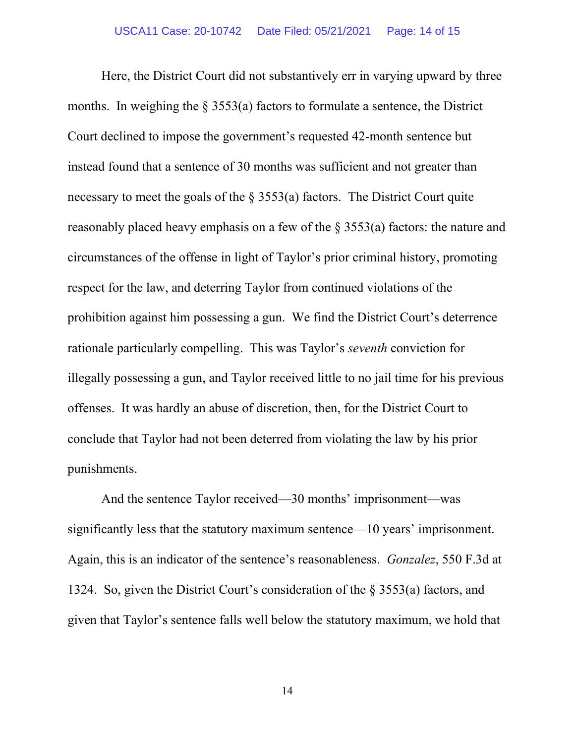Here, the District Court did not substantively err in varying upward by three months. In weighing the § 3553(a) factors to formulate a sentence, the District Court declined to impose the government's requested 42-month sentence but instead found that a sentence of 30 months was sufficient and not greater than necessary to meet the goals of the  $\S$  3553(a) factors. The District Court quite reasonably placed heavy emphasis on a few of the § 3553(a) factors: the nature and circumstances of the offense in light of Taylor's prior criminal history, promoting respect for the law, and deterring Taylor from continued violations of the prohibition against him possessing a gun. We find the District Court's deterrence rationale particularly compelling. This was Taylor's *seventh* conviction for illegally possessing a gun, and Taylor received little to no jail time for his previous offenses. It was hardly an abuse of discretion, then, for the District Court to conclude that Taylor had not been deterred from violating the law by his prior punishments.

And the sentence Taylor received—30 months' imprisonment—was significantly less that the statutory maximum sentence—10 years' imprisonment. Again, this is an indicator of the sentence's reasonableness. *Gonzalez*, 550 F.3d at 1324. So, given the District Court's consideration of the § 3553(a) factors, and given that Taylor's sentence falls well below the statutory maximum, we hold that